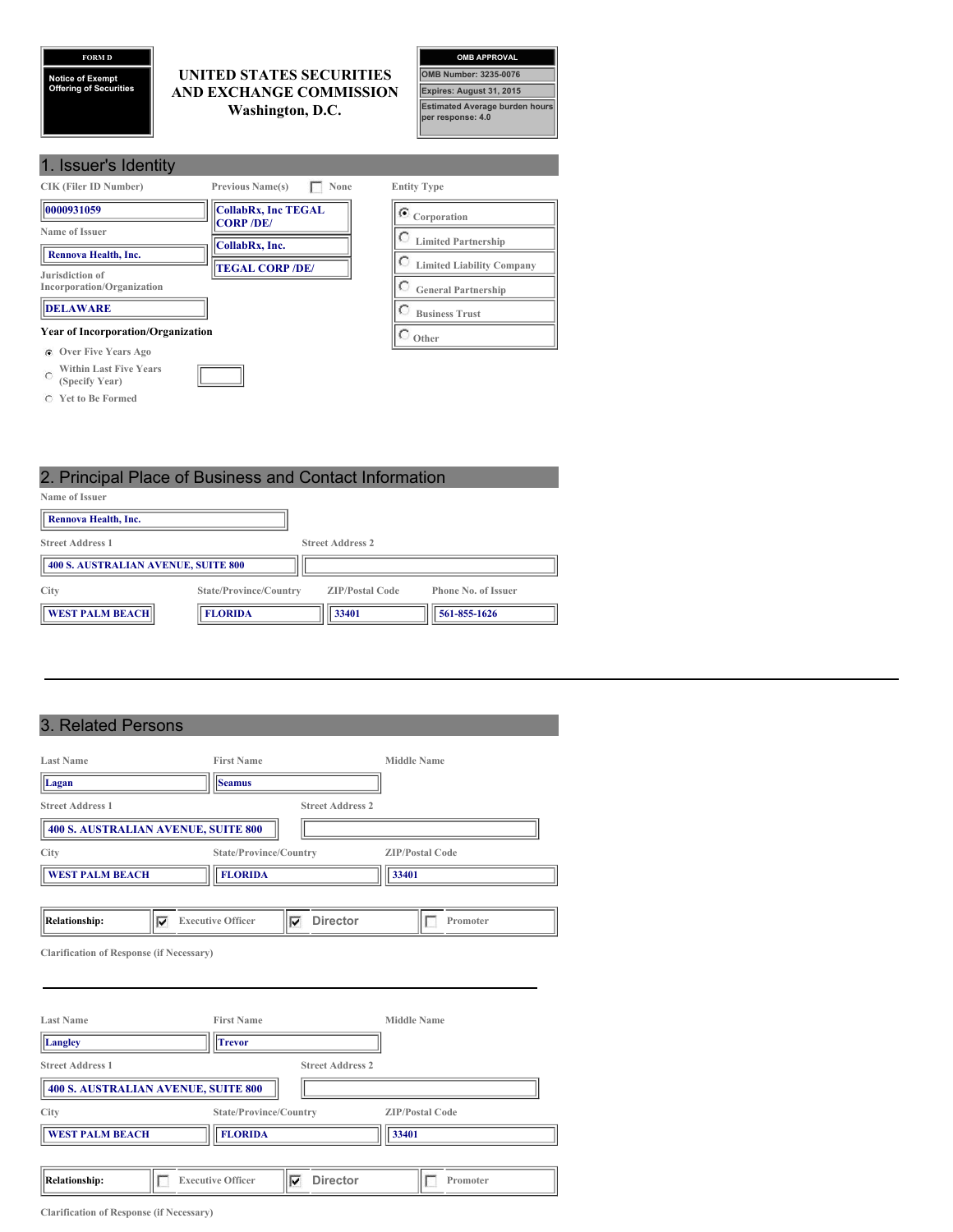## **FORM D**

**Notice of Exempt Offering of Securities**

#### **UNITED STATES SECURITIES AND EXCHANGE COMMISSION Washington, D.C.**



| 1. Issuer's Identity                                      |                                                |                                  |
|-----------------------------------------------------------|------------------------------------------------|----------------------------------|
| <b>CIK (Filer ID Number)</b>                              | <b>Previous Name(s)</b><br>None                | <b>Entity Type</b>               |
| 0000931059                                                | <b>CollabRx, Inc TEGAL</b><br><b>CORP /DE/</b> | $\sigma$ Corporation             |
| Name of Issuer                                            | CollabRx, Inc.                                 | <b>Limited Partnership</b>       |
| Rennova Health, Inc.<br>Jurisdiction of                   | <b>TEGAL CORP /DE/</b>                         | <b>Limited Liability Company</b> |
| Incorporation/Organization                                |                                                | <b>General Partnership</b>       |
| <b>DELAWARE</b>                                           |                                                | <b>Business Trust</b>            |
| <b>Year of Incorporation/Organization</b>                 |                                                | Other                            |
| Over Five Years Ago<br>$\sigma$                           |                                                |                                  |
| <b>Within Last Five Years</b><br>$\cap$<br>(Specify Year) |                                                |                                  |

**Yet to Be Formed**

2. Principal Place of Business and Contact Information **Name of Issuer Rennova Health, Inc. Street Address 1 Street Address 2 400 S. AUSTRALIAN AVENUE, SUITE 800 City State/Province/Country ZIP/Postal Code Phone No. of Issuer FLORIDA FLORIDA 561-855-1626** 

# 3. Related Persons

| <b>Last Name</b>                                | <b>First Name</b>        |                         | <b>Middle Name</b>     |
|-------------------------------------------------|--------------------------|-------------------------|------------------------|
| Lagan                                           | <b>Seamus</b>            |                         |                        |
| <b>Street Address 1</b>                         |                          | <b>Street Address 2</b> |                        |
| <b>400 S. AUSTRALIAN AVENUE, SUITE 800</b>      |                          |                         |                        |
| <b>City</b>                                     | State/Province/Country   |                         | <b>ZIP/Postal Code</b> |
| <b>WEST PALM BEACH</b>                          | <b>FLORIDA</b>           |                         | 33401                  |
|                                                 |                          |                         |                        |
| <b>Relationship:</b><br>⊽                       | <b>Executive Officer</b> | <b>Director</b><br>⊽    | Promoter               |
| <b>Clarification of Response (if Necessary)</b> |                          |                         |                        |
|                                                 |                          |                         |                        |
|                                                 |                          |                         |                        |
| <b>Last Name</b>                                | <b>First Name</b>        |                         | <b>Middle Name</b>     |
| Iг                                              |                          |                         |                        |

| Langley                 | <b>Trevor</b>                       |                                  |
|-------------------------|-------------------------------------|----------------------------------|
| <b>Street Address 1</b> |                                     | <b>Street Address 2</b>          |
|                         | 400 S. AUSTRALIAN AVENUE, SUITE 800 |                                  |
| City                    | State/Province/Country              | <b>ZIP/Postal Code</b>           |
| <b>WEST PALM BEACH</b>  | <b>FLORIDA</b>                      | 33401                            |
|                         |                                     |                                  |
| Relationship:           | <b>Executive Officer</b>            | <b>Director</b><br>Promoter<br>Ⅳ |

**Clarification of Response (if Necessary)**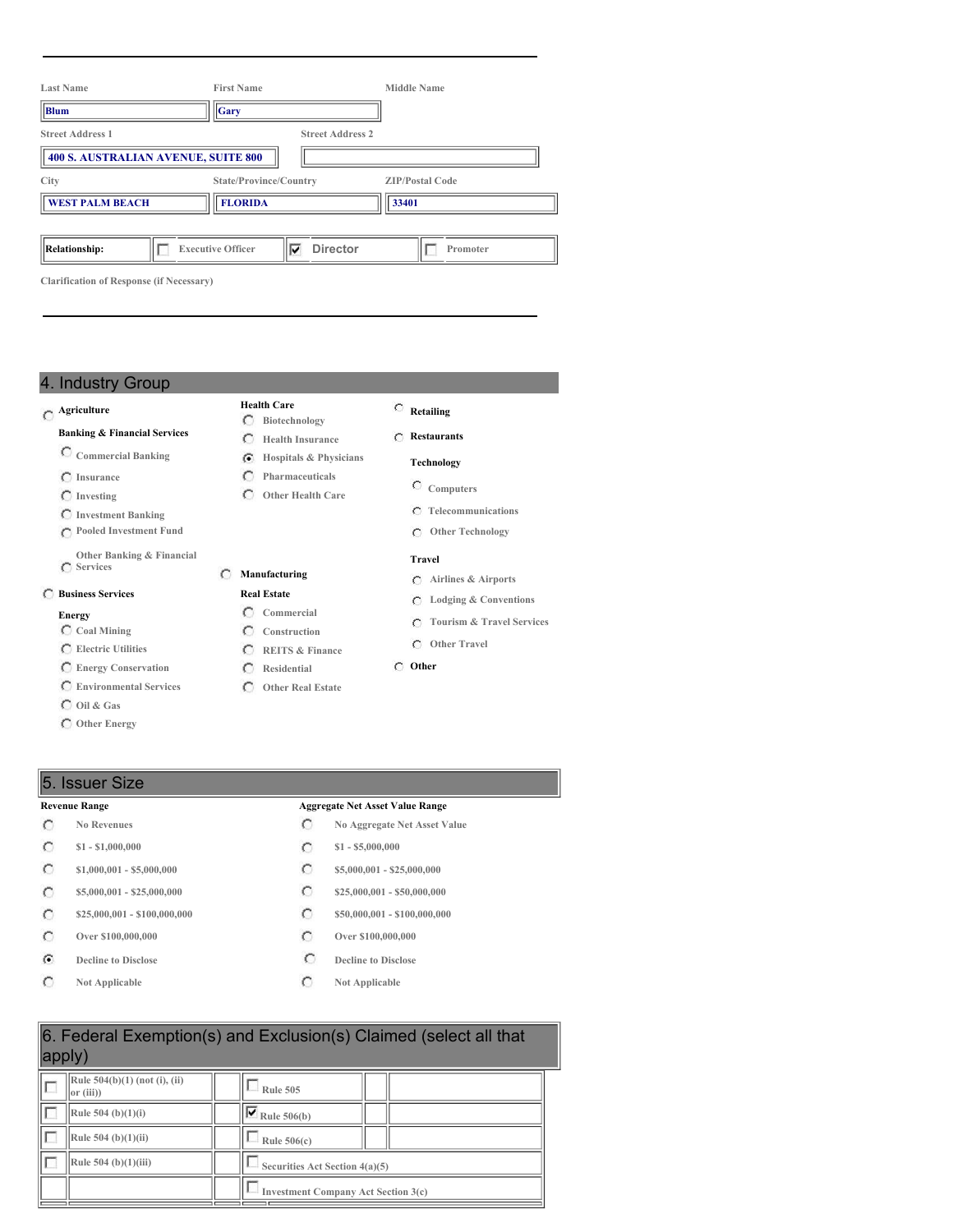| <b>Last Name</b>                                | <b>First Name</b>             |                         | <b>Middle Name</b>     |
|-------------------------------------------------|-------------------------------|-------------------------|------------------------|
| Blum                                            | $ _{\rm Gary}$                |                         |                        |
| <b>Street Address 1</b>                         |                               | <b>Street Address 2</b> |                        |
| <b>400 S. AUSTRALIAN AVENUE, SUITE 800</b>      |                               |                         |                        |
| City                                            | State/Province/Country        |                         | <b>ZIP/Postal Code</b> |
| <b>WEST PALM BEACH</b>                          | <b>FLORIDA</b>                |                         | 33401                  |
|                                                 |                               |                         |                        |
| <b>Relationship:</b>                            | ⊽<br><b>Executive Officer</b> | <b>Director</b>         | Promoter               |
| <b>Clarification of Response (if Necessary)</b> |                               |                         |                        |

**Health Care**

**Manufacturing Real Estate Commercial Construction REITS & Finance Residential Other Real Estate**

**Pharmaceuticals Other Health Care**

## 4. Industry Group

## **Agriculture**

# **Banking & Financial Services**

- **Commercial Banking**
- **Insurance**
- **Investing**
- **Investment Banking**
- **Pooled Investment Fund**
- **Other Banking & Financial Services**

#### **Business Services**

#### **Energy**

- **Coal Mining**
- **Electric Utilities**
- **Energy Conservation**
- **Environmental Services**
- **Oil & Gas**
- **Other Energy**
- **Retailing**
- **Biotechnology Health Insurance**
- **Hospitals & Physicians Restaurants**

#### **Technology**

- **Computers**
- **Telecommunications**
- **Other Technology**

#### **Travel**

- **Airlines & Airports**
- **Lodging & Conventions**
- **Tourism & Travel Services**
- **Other Travel**
- **Other**

# 5. Issuer Size

- $\circ$
- $\circ$
- $\circ$
- $\circ$
- $\circ$
- $\circ$
- $\odot$
- $\circ$

#### **Revenue Range Aggregate Net Asset Value Range**

- **No Revenues No Aggregate Net Asset Value**
- **\$1 - \$1,000,000 \$1 - \$5,000,000**
- **\$1,000,001 - \$5,000,000 \$5,000,000 \$5,000,001 \$25,000,000**
- **\$5,000,001 - \$25,000,000 \$25,000,000 \$25,000,000 \$25,000,000 \$25,000,000**
- **\$25,000,001 - \$100,000,000 \$50,000,001 - \$100,000,000**
- **Over \$100,000,000 Over \$100,000,000**
- **Decline to Disclose C Decline to Disclose**
- **Not Applicable Not Applicable**

| 6. Federal Exemption(s) and Exclusion(s) Claimed (select all that<br>apply) |                                            |  |  |  |
|-----------------------------------------------------------------------------|--------------------------------------------|--|--|--|
| Rule 504(b)(1) (not (i), (ii)<br>or (iii))                                  | <b>Rule 505</b>                            |  |  |  |
| Rule $504$ (b)(1)(i)                                                        | $\nabla$ Rule 506(b)                       |  |  |  |
| Rule 504 (b)(1)(ii)                                                         | Rule $506(c)$                              |  |  |  |
| Rule $504$ (b) $(1)(iii)$                                                   | Securities Act Section 4(a)(5)             |  |  |  |
|                                                                             | <b>Investment Company Act Section 3(c)</b> |  |  |  |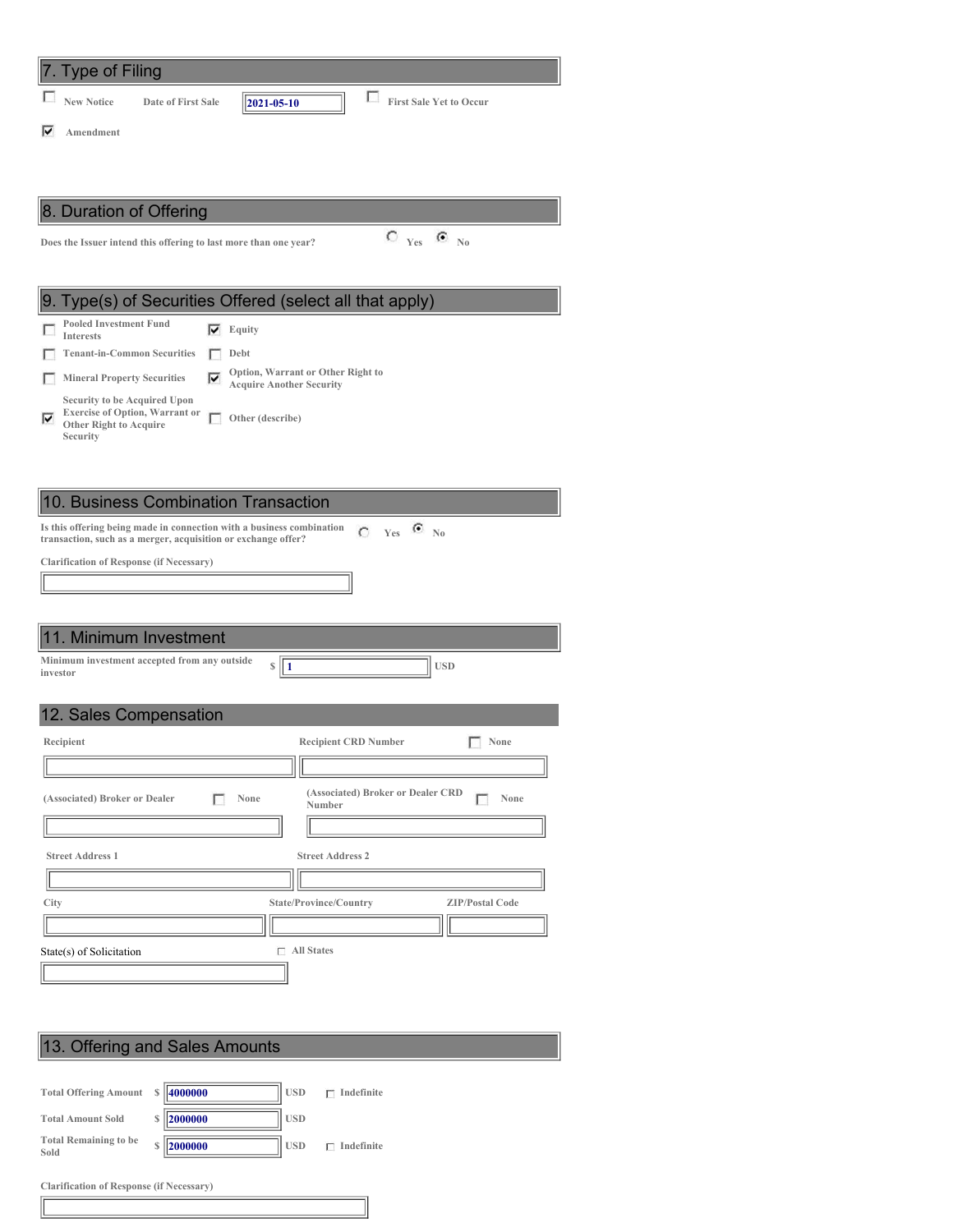| <b>Type of Filing</b>                                                                                                                  |                                                  |
|----------------------------------------------------------------------------------------------------------------------------------------|--------------------------------------------------|
| <b>New Notice</b><br>2021-05-10<br>Date of First Sale                                                                                  | П<br><b>First Sale Yet to Occur</b>              |
| ⊽<br>Amendment                                                                                                                         |                                                  |
|                                                                                                                                        |                                                  |
|                                                                                                                                        |                                                  |
| 8. Duration of Offering                                                                                                                |                                                  |
| Does the Issuer intend this offering to last more than one year?                                                                       | $C_{Yes}$ $C_{N0}$                               |
|                                                                                                                                        |                                                  |
| Type(s) of Securities Offered (select all that apply)<br>Ι9.                                                                           |                                                  |
| <b>Pooled Investment Fund</b><br>Equity<br>⊽<br><b>Interests</b>                                                                       |                                                  |
| <b>Tenant-in-Common Securities</b><br>Debt<br>г                                                                                        | Option, Warrant or Other Right to                |
| ⊽<br><b>Mineral Property Securities</b><br><b>Acquire Another Security</b><br><b>Security to be Acquired Upon</b>                      |                                                  |
| <b>Exercise of Option, Warrant or</b><br>⊽<br>г<br>Other (describe)<br><b>Other Right to Acquire</b>                                   |                                                  |
| Security                                                                                                                               |                                                  |
|                                                                                                                                        |                                                  |
| 10. Business Combination Transaction                                                                                                   |                                                  |
| Is this offering being made in connection with a business combination<br>transaction, such as a merger, acquisition or exchange offer? | $C$ Yes $C$ No                                   |
| <b>Clarification of Response (if Necessary)</b>                                                                                        |                                                  |
|                                                                                                                                        |                                                  |
|                                                                                                                                        |                                                  |
| 11. Minimum Investment                                                                                                                 |                                                  |
| Minimum investment accepted from any outside<br>\$<br>  1<br>investor                                                                  | <b>USD</b>                                       |
|                                                                                                                                        |                                                  |
| 12. Sales Compensation                                                                                                                 |                                                  |
| Recipient                                                                                                                              | None<br><b>Recipient CRD Number</b>              |
|                                                                                                                                        | (Associated) Broker or Dealer CRD                |
| (Associated) Broker or Dealer<br>None                                                                                                  | None<br>Number                                   |
|                                                                                                                                        |                                                  |
| <b>Street Address 1</b>                                                                                                                | <b>Street Address 2</b>                          |
|                                                                                                                                        |                                                  |
| City                                                                                                                                   | State/Province/Country<br><b>ZIP/Postal Code</b> |
| State(s) of Solicitation                                                                                                               | $\Box$ All States                                |
|                                                                                                                                        |                                                  |
|                                                                                                                                        |                                                  |
|                                                                                                                                        |                                                  |
| 13. Offering and Sales Amounts                                                                                                         |                                                  |
|                                                                                                                                        |                                                  |

## **Total Offering Amount \$ 4000000 USD Indefinite Total Amount Sold \$ 2000000 USD Total Remaining to be Sold \$ 2000000 USD Indefinite**

**Clarification of Response (if Necessary)**